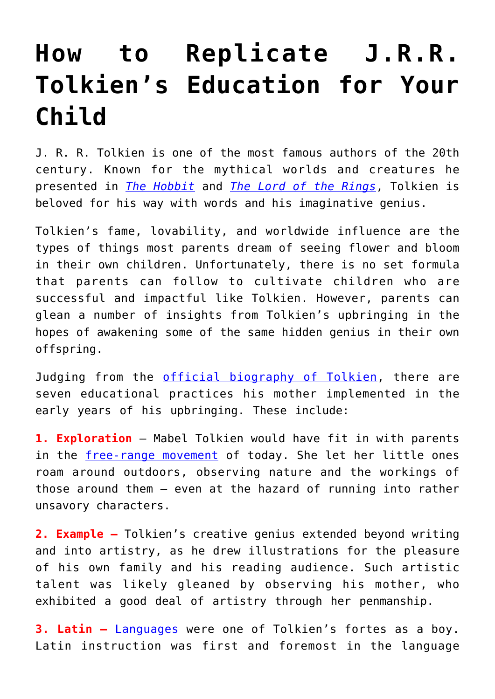## **[How to Replicate J.R.R.](https://intellectualtakeout.org/2018/07/how-to-replicate-j-r-r-tolkiens-education-for-your-child/) [Tolkien's Education for Your](https://intellectualtakeout.org/2018/07/how-to-replicate-j-r-r-tolkiens-education-for-your-child/) [Child](https://intellectualtakeout.org/2018/07/how-to-replicate-j-r-r-tolkiens-education-for-your-child/)**

J. R. R. Tolkien is one of the most famous authors of the 20th century. Known for the mythical worlds and creatures he presented in *[The Hobbit](https://www.amazon.com/gp/product/B00BWJ6JO4/ref=as_li_qf_asin_il_tl?ie=UTF8&tag=intelltakeo0d-20&creative=9325&linkCode=as2&creativeASIN=B00BWJ6JO4&linkId=fa03384863e820e1ab2a41793f5f8930)* and *[The Lord of the Rings](https://www.amazon.com/gp/product/B000YMH4CG/ref=as_li_qf_asin_il_tl?ie=UTF8&tag=intelltakeo0d-20&creative=9325&linkCode=as2&creativeASIN=B000YMH4CG&linkId=652c99196dfec22f9560cc5aeedbbdfe)*, Tolkien is beloved for his way with words and his imaginative genius.

Tolkien's fame, lovability, and worldwide influence are the types of things most parents dream of seeing flower and bloom in their own children. Unfortunately, there is no set formula that parents can follow to cultivate children who are successful and impactful like Tolkien. However, parents can glean a number of insights from Tolkien's upbringing in the hopes of awakening some of the same hidden genius in their own offspring.

Judging from the [official biography of Tolkien,](https://www.amazon.com/gp/product/0618057021/ref=as_li_qf_asin_il_tl?ie=UTF8&tag=intelltakeo0d-20&creative=9325&linkCode=as2&creativeASIN=0618057021&linkId=fdc4d075629a4caa882c193bd67db410) there are seven educational practices his mother implemented in the early years of his upbringing. These include:

**1. Exploration** – Mabel Tolkien would have fit in with parents in the [free-range movement](https://en.wikipedia.org/wiki/Free-range_parenting) of today. She let her little ones roam around outdoors, observing nature and the workings of those around them – even at the hazard of running into rather unsavory characters.

**2. Example –** Tolkien's creative genius extended beyond writing and into artistry, as he drew illustrations for the pleasure of his own family and his reading audience. Such artistic talent was likely gleaned by observing his mother, who exhibited a good deal of artistry through her penmanship.

**3. Latin –** [Languages](https://www.tolkiensociety.org/author/biography/) were one of Tolkien's fortes as a boy. Latin instruction was first and foremost in the language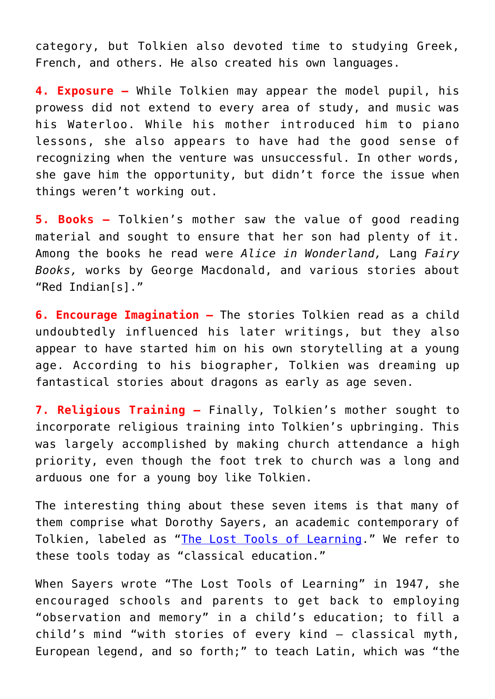category, but Tolkien also devoted time to studying Greek, French, and others. He also created his own languages.

**4. Exposure –** While Tolkien may appear the model pupil, his prowess did not extend to every area of study, and music was his Waterloo. While his mother introduced him to piano lessons, she also appears to have had the good sense of recognizing when the venture was unsuccessful. In other words, she gave him the opportunity, but didn't force the issue when things weren't working out.

**5. Books –** Tolkien's mother saw the value of good reading material and sought to ensure that her son had plenty of it. Among the books he read were *Alice in Wonderland,* Lang *Fairy Books,* works by George Macdonald, and various stories about "Red Indian[s]."

**6. Encourage Imagination –** The stories Tolkien read as a child undoubtedly influenced his later writings, but they also appear to have started him on his own storytelling at a young age. According to his biographer, Tolkien was dreaming up fantastical stories about dragons as early as age seven.

**7. Religious Training –** Finally, Tolkien's mother sought to incorporate religious training into Tolkien's upbringing. This was largely accomplished by making church attendance a high priority, even though the foot trek to church was a long and arduous one for a young boy like Tolkien.

The interesting thing about these seven items is that many of them comprise what Dorothy Sayers, an academic contemporary of Tolkien, labeled as "[The Lost Tools of Learning.](http://www.gbt.org/text/sayers.html)" We refer to these tools today as "classical education."

When Sayers wrote "The Lost Tools of Learning" in 1947, she encouraged schools and parents to get back to employing "observation and memory" in a child's education; to fill a child's mind "with stories of every kind – classical myth, European legend, and so forth;" to teach Latin, which was "the